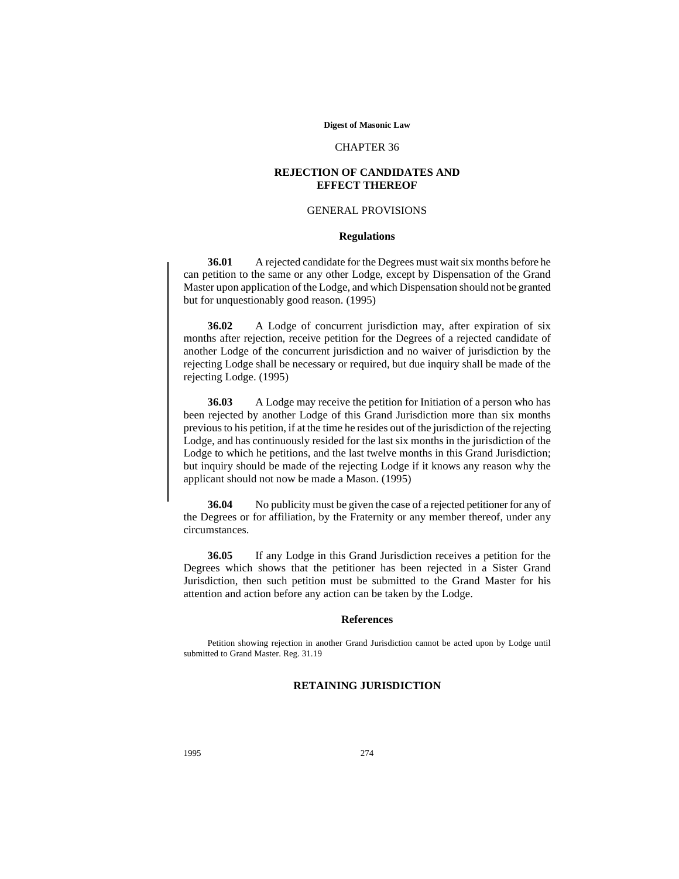#### **Digest of Masonic Law**

#### CHAPTER 36

### **REJECTION OF CANDIDATES AND EFFECT THEREOF**

#### GENERAL PROVISIONS

#### **Regulations**

**36.01** A rejected candidate for the Degrees must wait six months before he can petition to the same or any other Lodge, except by Dispensation of the Grand Master upon application of the Lodge, and which Dispensation should not be granted but for unquestionably good reason. (1995)

**36.02** A Lodge of concurrent jurisdiction may, after expiration of six months after rejection, receive petition for the Degrees of a rejected candidate of another Lodge of the concurrent jurisdiction and no waiver of jurisdiction by the rejecting Lodge shall be necessary or required, but due inquiry shall be made of the rejecting Lodge. (1995)

**36.03** A Lodge may receive the petition for Initiation of a person who has been rejected by another Lodge of this Grand Jurisdiction more than six months previous to his petition, if at the time he resides out of the jurisdiction of the rejecting Lodge, and has continuously resided for the last six months in the jurisdiction of the Lodge to which he petitions, and the last twelve months in this Grand Jurisdiction; but inquiry should be made of the rejecting Lodge if it knows any reason why the applicant should not now be made a Mason. (1995)

**36.04** No publicity must be given the case of a rejected petitioner for any of the Degrees or for affiliation, by the Fraternity or any member thereof, under any circumstances.

**36.05** If any Lodge in this Grand Jurisdiction receives a petition for the Degrees which shows that the petitioner has been rejected in a Sister Grand Jurisdiction, then such petition must be submitted to the Grand Master for his attention and action before any action can be taken by the Lodge.

#### **References**

Petition showing rejection in another Grand Jurisdiction cannot be acted upon by Lodge until submitted to Grand Master. Reg. 31.19

## **RETAINING JURISDICTION**